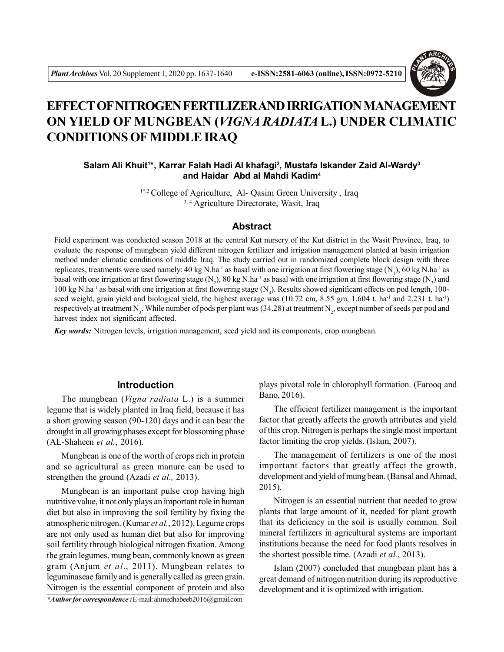

# **EFFECT OF NITROGEN FERTILIZER AND IRRIGATION MANAGEMENT ON YIELD OF MUNGBEAN (***VIGNA RADIATA* **L.) UNDER CLIMATIC CONDITIONS OF MIDDLE IRAQ**

# **Salam Ali Khuit<sup>1</sup> \*, Karrar Falah Hadi Al khafagi<sup>2</sup> , Mustafa Iskander Zaid Al-Wardy<sup>3</sup> and Haidar Abd al Mahdi Kadim<sup>4</sup>**

3, 4 Agriculture Directorate, Wasit, Iraq <sup>1\*,2</sup> College of Agriculture, Al- Qasim Green University, Iraq

# **Abstract**

Field experiment was conducted season 2018 at the central Kut nursery of the Kut district in the Wasit Province, Iraq, to evaluate the response of mungbean yield different nitrogen fertilizer and irrigation management planted at basin irrigation method under climatic conditions of middle Iraq. The study carried out in randomized complete block design with three replicates, treatments were used namely: 40 kg N.ha<sup>-1</sup> as basal with one irrigation at first flowering stage (N<sub>1</sub>), 60 kg N.ha<sup>-1</sup> as basal with one irrigation at first flowering stage (N<sub>2</sub>), 80 kg N.ha<sup>-1</sup> as basal with one irrigation at first flowering stage (N<sub>3</sub>) and 100 kg N.ha<sup>-1</sup> as basal with one irrigation at first flowering stage (N<sub>4</sub>). Results showed significant effects on pod length, 100seed weight, grain yield and biological yield, the highest average was (10.72 cm, 8.55 gm, 1.604 t. ha<sup>-1</sup> and 2.231 t. ha<sup>-1</sup>) respectively at treatment N<sub>3</sub>. While number of pods per plant was (34.28) at treatment N<sub>2</sub>, except number of seeds per pod and harvest index not significant affected.

*Key words:* Nitrogen levels, irrigation management, seed yield and its components, crop mungbean.

# **Introduction**

The mungbean (*Vigna radiata* L.) is a summer legume that is widely planted in Iraq field, because it has a short growing season (90-120) days and it can bear the drought in all growing phases except for blossoming phase (AL-Shaheen *et al.*, 2016).

Mungbean is one of the worth of crops rich in protein and so agricultural as green manure can be used to strengthen the ground (Azadi *et al.,* 2013).

Mungbean is an important pulse crop having high nutritive value, it not only plays an important role in human diet but also in improving the soil fertility by fixing the atmospheric nitrogen. (Kumar *et al.*, 2012). Legume crops are not only used as human diet but also for improving soil fertility through biological nitrogen fixation. Among the grain legumes, mung bean, commonly known as green gram (Anjum *et al*., 2011). Mungbean relates to leguminaseae family and is generally called as green grain. Nitrogen is the essential component of protein and also

*\*Author for correspondence :* E-mail: ahmedhabeeb2016@gmail.com

plays pivotal role in chlorophyll formation. (Farooq and Bano, 2016).

The efficient fertilizer management is the important factor that greatly affects the growth attributes and yield of this crop. Nitrogen is perhaps the single most important factor limiting the crop yields. (Islam, 2007).

The management of fertilizers is one of the most important factors that greatly affect the growth, development and yield of mung bean. (Bansal and Ahmad, 2015).

Nitrogen is an essential nutrient that needed to grow plants that large amount of it, needed for plant growth that its deficiency in the soil is usually common. Soil mineral fertilizers in agricultural systems are important institutions because the need for food plants resolves in the shortest possible time. (Azadi *et al.*, 2013).

Islam (2007) concluded that mungbean plant has a great demand of nitrogen nutrition during its reproductive development and it is optimized with irrigation.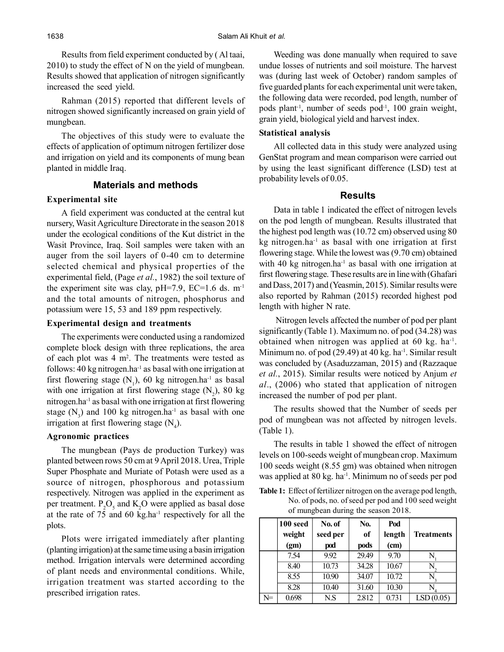Results from field experiment conducted by ( Al taai, 2010) to study the effect of N on the yield of mungbean. Results showed that application of nitrogen significantly increased the seed yield.

Rahman (2015) reported that different levels of nitrogen showed significantly increased on grain yield of mungbean.

The objectives of this study were to evaluate the effects of application of optimum nitrogen fertilizer dose and irrigation on yield and its components of mung bean planted in middle Iraq.

## **Materials and methods**

#### **Experimental site**

A field experiment was conducted at the central kut nursery, Wasit Agriculture Directorate in the season 2018 under the ecological conditions of the Kut district in the Wasit Province, Iraq. Soil samples were taken with an auger from the soil layers of 0-40 cm to determine selected chemical and physical properties of the experimental field, (Page *et al.*, 1982) the soil texture of the experiment site was clay,  $pH=7.9$ ,  $EC=1.6$  ds. m<sup>-1</sup> and the total amounts of nitrogen, phosphorus and potassium were 15, 53 and 189 ppm respectively.

#### **Experimental design and treatments**

The experiments were conducted using a randomized complete block design with three replications, the area of each plot was  $4 \text{ m}^2$ . The treatments were tested as follows: 40 kg nitrogen.ha<sup>-1</sup> as basal with one irrigation at first flowering stage  $(N_1)$ , 60 kg nitrogen.ha<sup>-1</sup> as basal with one irrigation at first flowering stage  $(N_2)$ , 80 kg nitrogen.ha-1 as basal with one irrigation at first flowering stage  $(N_3)$  and 100 kg nitrogen.ha<sup>-1</sup> as basal with one irrigation at first flowering stage  $(N_4)$ .

## **Agronomic practices**

The mungbean (Pays de production Turkey) was planted between rows 50 cm at 9 April 2018. Urea, Triple Super Phosphate and Muriate of Potash were used as a source of nitrogen, phosphorous and potassium respectively. Nitrogen was applied in the experiment as per treatment.  $P_2O_5$  and  $K_2O$  were applied as basal dose at the rate of 75 and 60 kg.ha-1 respectively for all the plots.

Plots were irrigated immediately after planting (planting irrigation) at the same time using a basin irrigation method. Irrigation intervals were determined according of plant needs and environmental conditions. While, irrigation treatment was started according to the prescribed irrigation rates.

Weeding was done manually when required to save undue losses of nutrients and soil moisture. The harvest was (during last week of October) random samples of five guarded plants for each experimental unit were taken, the following data were recorded, pod length, number of pods plant<sup>-1</sup>, number of seeds pod<sup>-1</sup>, 100 grain weight, grain yield, biological yield and harvest index.

## **Statistical analysis**

All collected data in this study were analyzed using GenStat program and mean comparison were carried out by using the least significant difference (LSD) test at probability levels of 0.05.

## **Results**

Data in table 1 indicated the effect of nitrogen levels on the pod length of mungbean. Results illustrated that the highest pod length was (10.72 cm) observed using 80  $kg$  nitrogen.ha<sup>-1</sup> as basal with one irrigation at first flowering stage. While the lowest was (9.70 cm) obtained with 40 kg nitrogen.ha<sup>-1</sup> as basal with one irrigation at first flowering stage. These results are in line with (Ghafari and Dass, 2017) and (Yeasmin, 2015). Similar results were also reported by Rahman (2015) recorded highest pod length with higher N rate.

 Nitrogen levels affected the number of pod per plant significantly (Table 1). Maximum no. of pod (34.28) was obtained when nitrogen was applied at 60 kg. ha<sup>-1</sup>. Minimum no. of pod  $(29.49)$  at 40 kg. ha<sup>-1</sup>. Similar result was concluded by (Asaduzzaman, 2015) and (Razzaque *et al.*, 2015). Similar results were noticed by Anjum *et al*., (2006) who stated that application of nitrogen increased the number of pod per plant.

The results showed that the Number of seeds per pod of mungbean was not affected by nitrogen levels. (Table 1).

The results in table 1 showed the effect of nitrogen levels on 100-seeds weight of mungbean crop. Maximum 100 seeds weight (8.55 gm) was obtained when nitrogen was applied at 80 kg. ha<sup>-1</sup>. Minimum no of seeds per pod

**Table 1:** Effect of fertilizer nitrogen on the average pod length, No. of pods, no. of seed per pod and 100 seed weight of mungbean during the season 2018.

|    | 100 seed<br>weight<br>(gm) | No. of<br>seed per<br>pod | No.<br>of<br>pods | Pod<br>length<br>(cm) | <b>Treatments</b> |
|----|----------------------------|---------------------------|-------------------|-----------------------|-------------------|
|    | 7.54                       | 9.92                      | 29.49             | 9.70                  |                   |
|    | 8.40                       | 10.73                     | 34.28             | 10.67                 |                   |
|    | 8.55                       | 10.90                     | 34.07             | 10.72                 |                   |
|    | 8.28                       | 10.40                     | 31.60             | 10.30                 |                   |
| N= | 0.698                      | N.S                       | 2.812             | 0.731                 | LSD(0.05)         |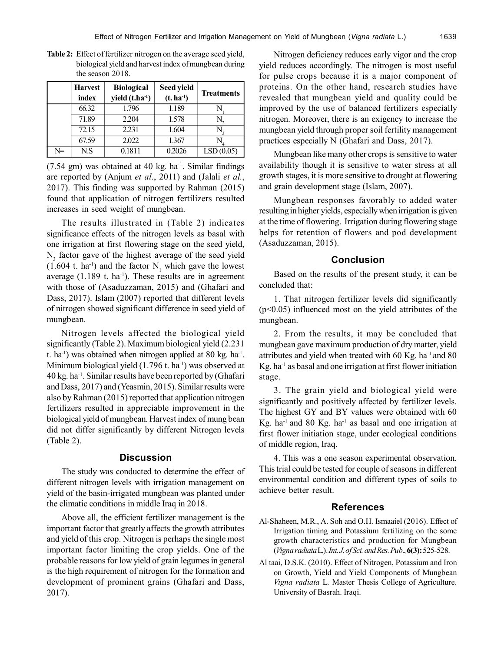|    | <b>Harvest</b><br>index | <b>Biological</b><br>yield (t.ha-1) | Seed yield<br>$(t. ha-1)$ | <b>Treatments</b> |  |  |
|----|-------------------------|-------------------------------------|---------------------------|-------------------|--|--|
|    | 66.32                   | 1.796                               | 1.189                     |                   |  |  |
|    | 71.89                   | 2.204                               | 1.578                     |                   |  |  |
|    | 72.15                   | 2.231                               | 1.604                     |                   |  |  |
|    | 67.59                   | 2.022                               | 1.367                     |                   |  |  |
| N= | N.S                     | 0.1811                              | 0.2026                    | LSD(0.05)         |  |  |

**Table 2:** Effect of fertilizer nitrogen on the average seed yield, biological yield and harvest index of mungbean during the season 2018.

(7.54 gm) was obtained at 40 kg. ha-1 . Similar findings are reported by (Anjum *et al.*, 2011) and (Jalali *et al.*, 2017). This finding was supported by Rahman (2015) found that application of nitrogen fertilizers resulted increases in seed weight of mungbean.

The results illustrated in (Table 2) indicates significance effects of the nitrogen levels as basal with one irrigation at first flowering stage on the seed yield,  $N<sub>3</sub>$  factor gave of the highest average of the seed yield  $(1.604 \text{ t. ha}^{-1})$  and the factor N<sub>1</sub> which gave the lowest average  $(1.189 \text{ t. ha}^{-1})$ . These results are in agreement with those of (Asaduzzaman, 2015) and (Ghafari and Dass, 2017). Islam (2007) reported that different levels of nitrogen showed significant difference in seed yield of mungbean.

Nitrogen levels affected the biological yield significantly (Table 2). Maximum biological yield (2.231 t. ha<sup>-1</sup>) was obtained when nitrogen applied at 80 kg. ha<sup>-1</sup>. Minimum biological yield  $(1.796 t. ha<sup>-1</sup>)$  was observed at  $40$  kg. ha<sup>-1</sup>. Similar results have been reported by (Ghafari and Dass, 2017) and (Yeasmin, 2015). Similar results were also by Rahman (2015) reported that application nitrogen fertilizers resulted in appreciable improvement in the biological yield of mungbean. Harvest index of mung bean did not differ significantly by different Nitrogen levels (Table 2).

## **Discussion**

The study was conducted to determine the effect of different nitrogen levels with irrigation management on yield of the basin-irrigated mungbean was planted under the climatic conditions in middle Iraq in 2018.

Above all, the efficient fertilizer management is the important factor that greatly affects the growth attributes and yield of this crop. Nitrogen is perhaps the single most important factor limiting the crop yields. One of the probable reasons for low yield of grain legumes in general is the high requirement of nitrogen for the formation and development of prominent grains (Ghafari and Dass, 2017).

Nitrogen deficiency reduces early vigor and the crop yield reduces accordingly. The nitrogen is most useful for pulse crops because it is a major component of proteins. On the other hand, research studies have revealed that mungbean yield and quality could be improved by the use of balanced fertilizers especially nitrogen. Moreover, there is an exigency to increase the mungbean yield through proper soil fertility management practices especially N (Ghafari and Dass, 2017).

Mungbean like many other crops is sensitive to water availability though it is sensitive to water stress at all growth stages, it is more sensitive to drought at flowering and grain development stage (Islam, 2007).

Mungbean responses favorably to added water resulting in higher yields, especially when irrigation is given at the time of flowering. Irrigation during flowering stage helps for retention of flowers and pod development (Asaduzzaman, 2015).

#### **Conclusion**

Based on the results of the present study, it can be concluded that:

1. That nitrogen fertilizer levels did significantly  $(p<0.05)$  influenced most on the yield attributes of the mungbean.

2. From the results, it may be concluded that mungbean gave maximum production of dry matter, yield attributes and yield when treated with 60 Kg. ha-1 and 80  $Kg$ . ha<sup>-1</sup> as basal and one irrigation at first flower initiation stage.

3. The grain yield and biological yield were significantly and positively affected by fertilizer levels. The highest GY and BY values were obtained with 60 Kg. ha<sup>-1</sup> and 80 Kg. ha<sup>-1</sup> as basal and one irrigation at first flower initiation stage, under ecological conditions of middle region, Iraq.

4. This was a one season experimental observation. This trial could be tested for couple of seasons in different environmental condition and different types of soils to achieve better result.

## **References**

- Al-Shaheen, M.R., A. Soh and O.H. Ismaaiel (2016). Effect of Irrigation timing and Potassium fertilizing on the some growth characteristics and production for Mungbean (*Vigna radiata* L.). *Int. J. of Sci. and Res. Pub*., **6(3):** 525-528.
- Al taai, D.S.K. (2010). Effect of Nitrogen, Potassium and Iron on Growth, Yield and Yield Components of Mungbean *Vigna radiata* L. Master Thesis College of Agriculture. University of Basrah. Iraqi.